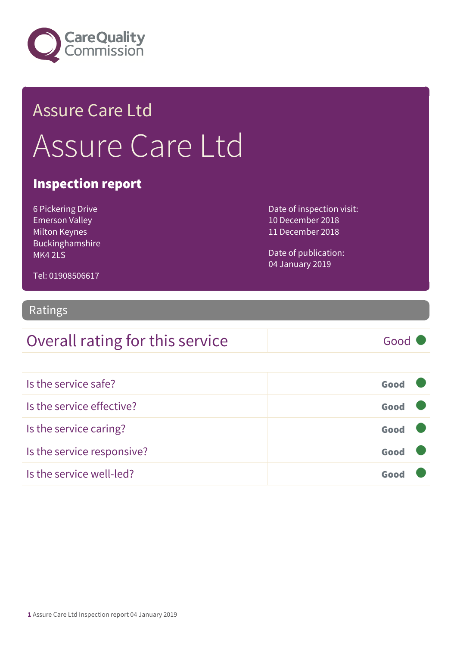

## Assure Care Ltd Assure Care Ltd

#### Inspection report

6 Pickering Drive Emerson Valley Milton Keynes Buckinghamshire MK4 2LS

Date of inspection visit: 10 December 2018 11 December 2018

Date of publication: 04 January 2019

Tel: 01908506617

#### Ratings

#### Overall rating for this service Good

| Is the service safe?       | Good |  |
|----------------------------|------|--|
| Is the service effective?  | Good |  |
| Is the service caring?     | Good |  |
| Is the service responsive? | Good |  |
| Is the service well-led?   |      |  |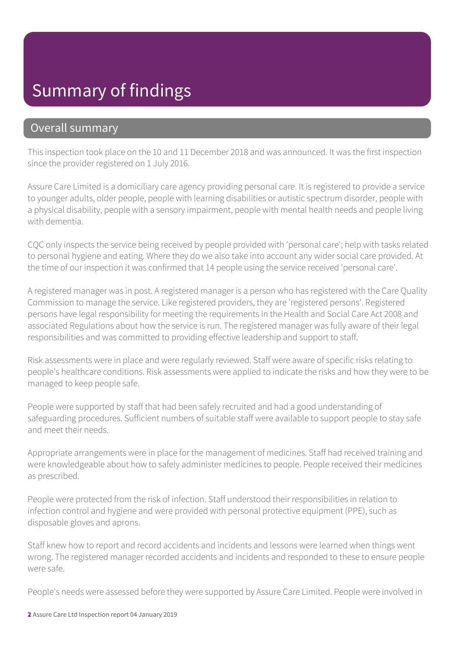#### Summary of findings

#### Overall summary

This inspection took place on the 10 and 11 December 2018 and was announced. It was the first inspection since the provider registered on 1 July 2016.

Assure Care Limited is a domiciliary care agency providing personal care. It is registered to provide a service to younger adults, older people, people with learning disabilities or autistic spectrum disorder, people with a physical disability, people with a sensory impairment, people with mental health needs and people living with dementia.

CQC only inspects the service being received by people provided with 'personal care'; help with tasks related to personal hygiene and eating. Where they do we also take into account any wider social care provided. At the time of our inspection it was confirmed that 14 people using the service received 'personal care'.

A registered manager was in post. A registered manager is a person who has registered with the Care Quality Commission to manage the service. Like registered providers, they are 'registered persons'. Registered persons have legal responsibility for meeting the requirements in the Health and Social Care Act 2008 and associated Regulations about how the service is run. The registered manager was fully aware of their legal responsibilities and was committed to providing effective leadership and support to staff.

Risk assessments were in place and were regularly reviewed. Staff were aware of specific risks relating to people's healthcare conditions. Risk assessments were applied to indicate the risks and how they were to be managed to keep people safe.

People were supported by staff that had been safely recruited and had a good understanding of safeguarding procedures. Sufficient numbers of suitable staff were available to support people to stay safe and meet their needs.

Appropriate arrangements were in place for the management of medicines. Staff had received training and were knowledgeable about how to safely administer medicines to people. People received their medicines as prescribed.

People were protected from the risk of infection. Staff understood their responsibilities in relation to infection control and hygiene and were provided with personal protective equipment (PPE), such as disposable gloves and aprons.

Staff knew how to report and record accidents and incidents and lessons were learned when things went wrong. The registered manager recorded accidents and incidents and responded to these to ensure people were safe.

People's needs were assessed before they were supported by Assure Care Limited. People were involved in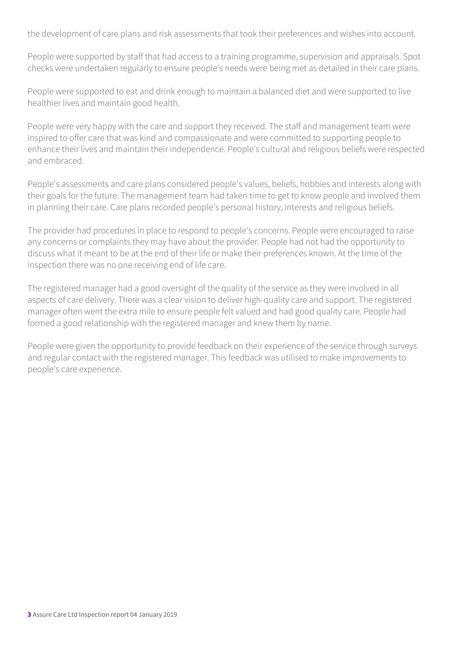the development of care plans and risk assessments that took their preferences and wishes into account.

People were supported by staff that had access to a training programme, supervision and appraisals. Spot checks were undertaken regularly to ensure people's needs were being met as detailed in their care plans.

People were supported to eat and drink enough to maintain a balanced diet and were supported to live healthier lives and maintain good health.

People were very happy with the care and support they received. The staff and management team were inspired to offer care that was kind and compassionate and were committed to supporting people to enhance their lives and maintain their independence. People's cultural and religious beliefs were respected and embraced.

People's assessments and care plans considered people's values, beliefs, hobbies and interests along with their goals for the future. The management team had taken time to get to know people and involved them in planning their care. Care plans recorded people's personal history, interests and religious beliefs.

The provider had procedures in place to respond to people's concerns. People were encouraged to raise any concerns or complaints they may have about the provider. People had not had the opportunity to discuss what it meant to be at the end of their life or make their preferences known. At the time of the inspection there was no one receiving end of life care.

The registered manager had a good oversight of the quality of the service as they were involved in all aspects of care delivery. There was a clear vision to deliver high-quality care and support. The registered manager often went the extra mile to ensure people felt valued and had good quality care. People had formed a good relationship with the registered manager and knew them by name.

People were given the opportunity to provide feedback on their experience of the service through surveys and regular contact with the registered manager. This feedback was utilised to make improvements to people's care experience.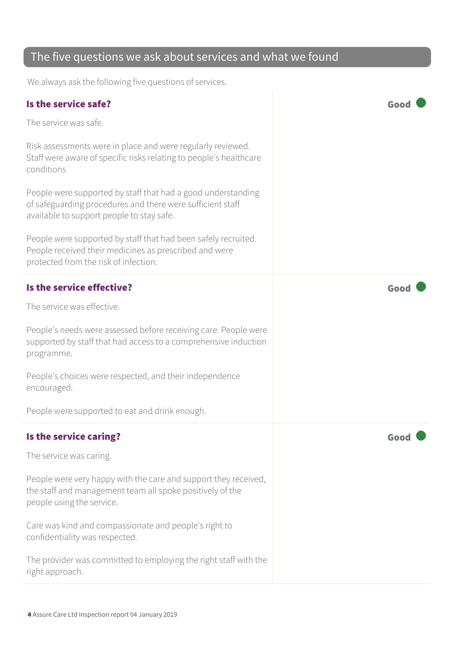#### The five questions we ask about services and what we found We always ask the following five questions of services. Is the service safe? Good The service was safe. Risk assessments were in place and were regularly reviewed. Staff were aware of specific risks relating to people's healthcare conditions People were supported by staff that had a good understanding of safeguarding procedures and there were sufficient staff available to support people to stay safe. People were supported by staff that had been safely recruited. People received their medicines as prescribed and were protected from the risk of infection. Is the service effective? The service effective? The service was effective. People's needs were assessed before receiving care. People were supported by staff that had access to a comprehensive induction programme. People's choices were respected, and their independence encouraged. People were supported to eat and drink enough. Is the service caring? The service caring of the service caring  $\sim$  Good The service was caring. People were very happy with the care and support they received, the staff and management team all spoke positively of the people using the service. Care was kind and compassionate and people's right to confidentiality was respected. The provider was committed to employing the right staff with the right approach.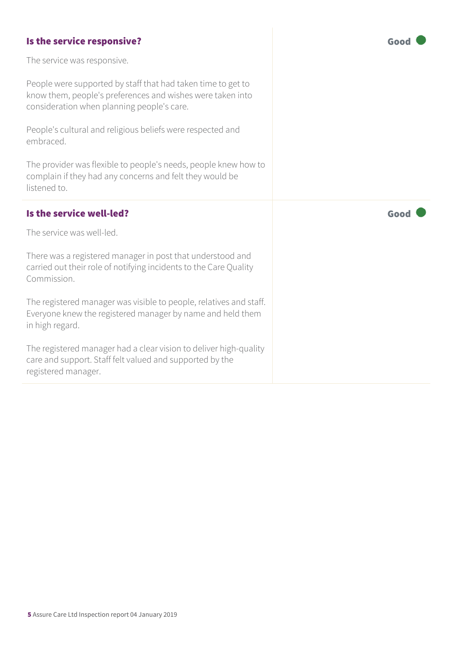#### Is the service responsive? The service responsive?

The service was responsive.

People were supported by staff that had taken time to get to know them, people's preferences and wishes were taken into consideration when planning people's care.

People's cultural and religious beliefs were respected and embraced.

The provider was flexible to people's needs, people knew how to complain if they had any concerns and felt they would be listened to.

#### Is the service well-led? Good

The service was well-led.

There was a registered manager in post that understood and carried out their role of notifying incidents to the Care Quality Commission.

The registered manager was visible to people, relatives and staff. Everyone knew the registered manager by name and held them in high regard.

The registered manager had a clear vision to deliver high-quality care and support. Staff felt valued and supported by the registered manager.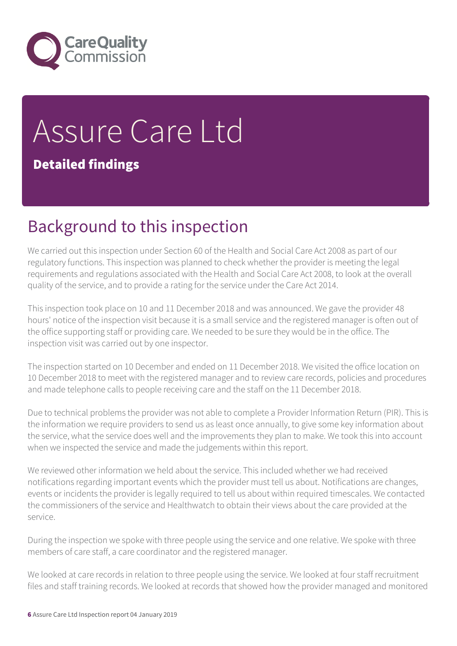

# Assure Care Ltd

Detailed findings

## Background to this inspection

We carried out this inspection under Section 60 of the Health and Social Care Act 2008 as part of our regulatory functions. This inspection was planned to check whether the provider is meeting the legal requirements and regulations associated with the Health and Social Care Act 2008, to look at the overall quality of the service, and to provide a rating for the service under the Care Act 2014.

This inspection took place on 10 and 11 December 2018 and was announced. We gave the provider 48 hours' notice of the inspection visit because it is a small service and the registered manager is often out of the office supporting staff or providing care. We needed to be sure they would be in the office. The inspection visit was carried out by one inspector.

The inspection started on 10 December and ended on 11 December 2018. We visited the office location on 10 December 2018 to meet with the registered manager and to review care records, policies and procedures and made telephone calls to people receiving care and the staff on the 11 December 2018.

Due to technical problems the provider was not able to complete a Provider Information Return (PIR). This is the information we require providers to send us as least once annually, to give some key information about the service, what the service does well and the improvements they plan to make. We took this into account when we inspected the service and made the judgements within this report.

We reviewed other information we held about the service. This included whether we had received notifications regarding important events which the provider must tell us about. Notifications are changes, events or incidents the provider is legally required to tell us about within required timescales. We contacted the commissioners of the service and Healthwatch to obtain their views about the care provided at the service.

During the inspection we spoke with three people using the service and one relative. We spoke with three members of care staff, a care coordinator and the registered manager.

We looked at care records in relation to three people using the service. We looked at four staff recruitment files and staff training records. We looked at records that showed how the provider managed and monitored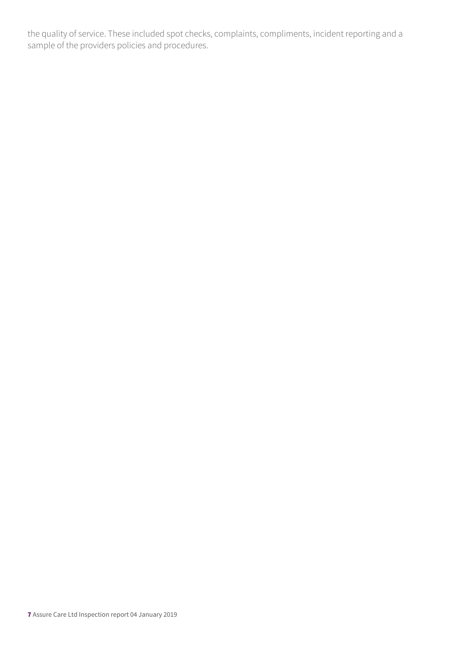the quality of service. These included spot checks, complaints, compliments, incident reporting and a sample of the providers policies and procedures.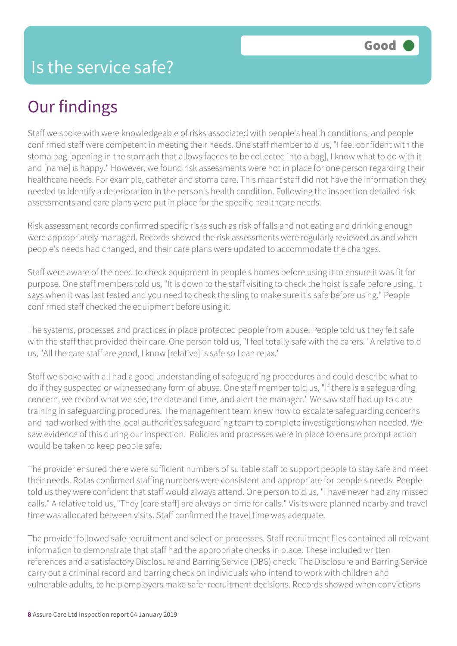## Our findings

Staff we spoke with were knowledgeable of risks associated with people's health conditions, and people confirmed staff were competent in meeting their needs. One staff member told us, "I feel confident with the stoma bag [opening in the stomach that allows faeces to be collected into a bag], I know what to do with it and [name] is happy." However, we found risk assessments were not in place for one person regarding their healthcare needs. For example, catheter and stoma care. This meant staff did not have the information they needed to identify a deterioration in the person's health condition. Following the inspection detailed risk assessments and care plans were put in place for the specific healthcare needs.

Risk assessment records confirmed specific risks such as risk of falls and not eating and drinking enough were appropriately managed. Records showed the risk assessments were regularly reviewed as and when people's needs had changed, and their care plans were updated to accommodate the changes.

Staff were aware of the need to check equipment in people's homes before using it to ensure it was fit for purpose. One staff members told us, "It is down to the staff visiting to check the hoist is safe before using. It says when it was last tested and you need to check the sling to make sure it's safe before using." People confirmed staff checked the equipment before using it.

The systems, processes and practices in place protected people from abuse. People told us they felt safe with the staff that provided their care. One person told us, "I feel totally safe with the carers." A relative told us, "All the care staff are good, I know [relative] is safe so I can relax."

Staff we spoke with all had a good understanding of safeguarding procedures and could describe what to do if they suspected or witnessed any form of abuse. One staff member told us, "If there is a safeguarding concern, we record what we see, the date and time, and alert the manager." We saw staff had up to date training in safeguarding procedures. The management team knew how to escalate safeguarding concerns and had worked with the local authorities safeguarding team to complete investigations when needed. We saw evidence of this during our inspection. Policies and processes were in place to ensure prompt action would be taken to keep people safe.

The provider ensured there were sufficient numbers of suitable staff to support people to stay safe and meet their needs. Rotas confirmed staffing numbers were consistent and appropriate for people's needs. People told us they were confident that staff would always attend. One person told us, "I have never had any missed calls." A relative told us, "They [care staff] are always on time for calls." Visits were planned nearby and travel time was allocated between visits. Staff confirmed the travel time was adequate.

The provider followed safe recruitment and selection processes. Staff recruitment files contained all relevant information to demonstrate that staff had the appropriate checks in place. These included written references and a satisfactory Disclosure and Barring Service (DBS) check. The Disclosure and Barring Service carry out a criminal record and barring check on individuals who intend to work with children and vulnerable adults, to help employers make safer recruitment decisions. Records showed when convictions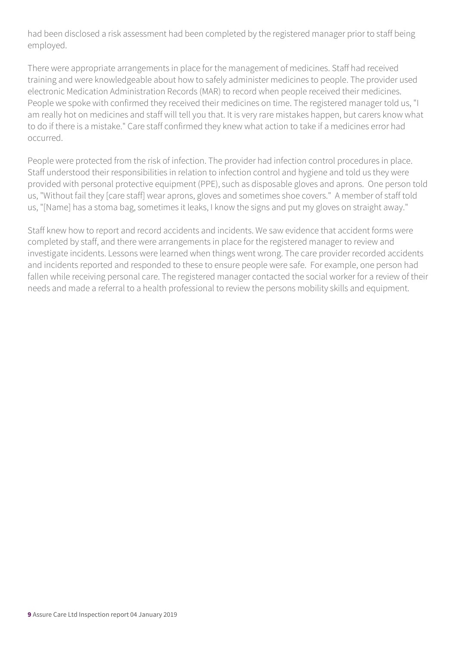had been disclosed a risk assessment had been completed by the registered manager prior to staff being employed.

There were appropriate arrangements in place for the management of medicines. Staff had received training and were knowledgeable about how to safely administer medicines to people. The provider used electronic Medication Administration Records (MAR) to record when people received their medicines. People we spoke with confirmed they received their medicines on time. The registered manager told us, "I am really hot on medicines and staff will tell you that. It is very rare mistakes happen, but carers know what to do if there is a mistake." Care staff confirmed they knew what action to take if a medicines error had occurred.

People were protected from the risk of infection. The provider had infection control procedures in place. Staff understood their responsibilities in relation to infection control and hygiene and told us they were provided with personal protective equipment (PPE), such as disposable gloves and aprons. One person told us, "Without fail they [care staff] wear aprons, gloves and sometimes shoe covers." A member of staff told us, "[Name] has a stoma bag, sometimes it leaks, I know the signs and put my gloves on straight away."

Staff knew how to report and record accidents and incidents. We saw evidence that accident forms were completed by staff, and there were arrangements in place for the registered manager to review and investigate incidents. Lessons were learned when things went wrong. The care provider recorded accidents and incidents reported and responded to these to ensure people were safe. For example, one person had fallen while receiving personal care. The registered manager contacted the social worker for a review of their needs and made a referral to a health professional to review the persons mobility skills and equipment.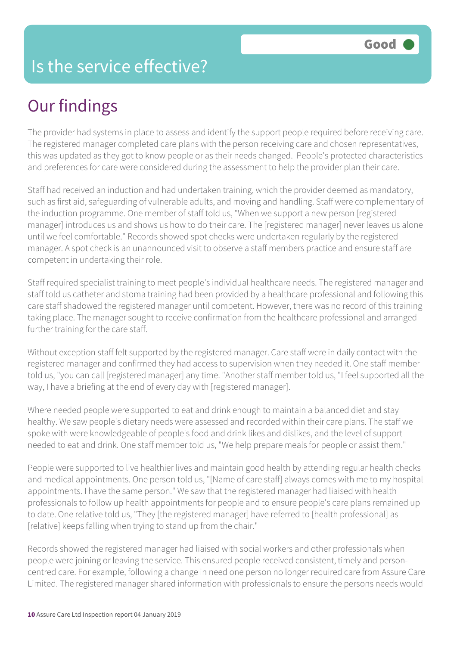#### Is the service effective?

## Our findings

The provider had systems in place to assess and identify the support people required before receiving care. The registered manager completed care plans with the person receiving care and chosen representatives, this was updated as they got to know people or as their needs changed. People's protected characteristics and preferences for care were considered during the assessment to help the provider plan their care.

Staff had received an induction and had undertaken training, which the provider deemed as mandatory, such as first aid, safeguarding of vulnerable adults, and moving and handling. Staff were complementary of the induction programme. One member of staff told us, "When we support a new person [registered manager] introduces us and shows us how to do their care. The [registered manager] never leaves us alone until we feel comfortable." Records showed spot checks were undertaken regularly by the registered manager. A spot check is an unannounced visit to observe a staff members practice and ensure staff are competent in undertaking their role.

Staff required specialist training to meet people's individual healthcare needs. The registered manager and staff told us catheter and stoma training had been provided by a healthcare professional and following this care staff shadowed the registered manager until competent. However, there was no record of this training taking place. The manager sought to receive confirmation from the healthcare professional and arranged further training for the care staff.

Without exception staff felt supported by the registered manager. Care staff were in daily contact with the registered manager and confirmed they had access to supervision when they needed it. One staff member told us, "you can call [registered manager] any time. "Another staff member told us, "I feel supported all the way, I have a briefing at the end of every day with [registered manager].

Where needed people were supported to eat and drink enough to maintain a balanced diet and stay healthy. We saw people's dietary needs were assessed and recorded within their care plans. The staff we spoke with were knowledgeable of people's food and drink likes and dislikes, and the level of support needed to eat and drink. One staff member told us, "We help prepare meals for people or assist them."

People were supported to live healthier lives and maintain good health by attending regular health checks and medical appointments. One person told us, "[Name of care staff] always comes with me to my hospital appointments. I have the same person." We saw that the registered manager had liaised with health professionals to follow up health appointments for people and to ensure people's care plans remained up to date. One relative told us, "They [the registered manager] have referred to [health professional] as [relative] keeps falling when trying to stand up from the chair."

Records showed the registered manager had liaised with social workers and other professionals when people were joining or leaving the service. This ensured people received consistent, timely and personcentred care. For example, following a change in need one person no longer required care from Assure Care Limited. The registered manager shared information with professionals to ensure the persons needs would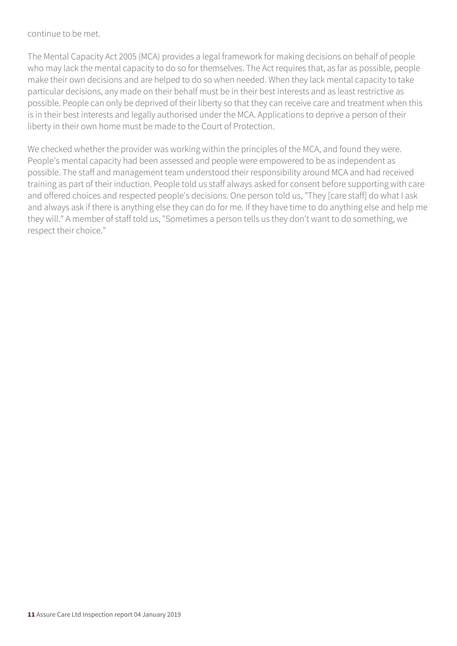#### continue to be met.

The Mental Capacity Act 2005 (MCA) provides a legal framework for making decisions on behalf of people who may lack the mental capacity to do so for themselves. The Act requires that, as far as possible, people make their own decisions and are helped to do so when needed. When they lack mental capacity to take particular decisions, any made on their behalf must be in their best interests and as least restrictive as possible. People can only be deprived of their liberty so that they can receive care and treatment when this is in their best interests and legally authorised under the MCA. Applications to deprive a person of their liberty in their own home must be made to the Court of Protection.

We checked whether the provider was working within the principles of the MCA, and found they were. People's mental capacity had been assessed and people were empowered to be as independent as possible. The staff and management team understood their responsibility around MCA and had received training as part of their induction. People told us staff always asked for consent before supporting with care and offered choices and respected people's decisions. One person told us, "They [care staff] do what I ask and always ask if there is anything else they can do for me. If they have time to do anything else and help me they will." A member of staff told us, "Sometimes a person tells us they don't want to do something, we respect their choice."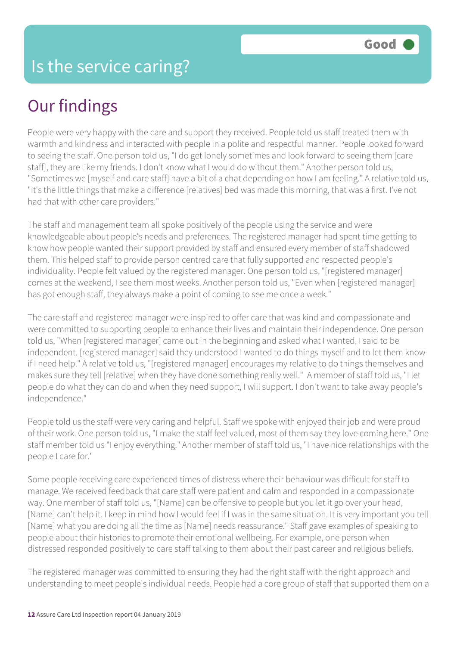## Our findings

People were very happy with the care and support they received. People told us staff treated them with warmth and kindness and interacted with people in a polite and respectful manner. People looked forward to seeing the staff. One person told us, "I do get lonely sometimes and look forward to seeing them [care staff], they are like my friends. I don't know what I would do without them." Another person told us, "Sometimes we [myself and care staff] have a bit of a chat depending on how I am feeling." A relative told us, "It's the little things that make a difference [relatives] bed was made this morning, that was a first. I've not had that with other care providers."

The staff and management team all spoke positively of the people using the service and were knowledgeable about people's needs and preferences. The registered manager had spent time getting to know how people wanted their support provided by staff and ensured every member of staff shadowed them. This helped staff to provide person centred care that fully supported and respected people's individuality. People felt valued by the registered manager. One person told us, "[registered manager] comes at the weekend, I see them most weeks. Another person told us, "Even when [registered manager] has got enough staff, they always make a point of coming to see me once a week."

The care staff and registered manager were inspired to offer care that was kind and compassionate and were committed to supporting people to enhance their lives and maintain their independence. One person told us, "When [registered manager] came out in the beginning and asked what I wanted, I said to be independent. [registered manager] said they understood I wanted to do things myself and to let them know if I need help." A relative told us, "[registered manager] encourages my relative to do things themselves and makes sure they tell [relative] when they have done something really well." A member of staff told us, "I let people do what they can do and when they need support, I will support. I don't want to take away people's independence."

People told us the staff were very caring and helpful. Staff we spoke with enjoyed their job and were proud of their work. One person told us, "I make the staff feel valued, most of them say they love coming here." One staff member told us "I enjoy everything." Another member of staff told us, "I have nice relationships with the people I care for."

Some people receiving care experienced times of distress where their behaviour was difficult for staff to manage. We received feedback that care staff were patient and calm and responded in a compassionate way. One member of staff told us, "[Name] can be offensive to people but you let it go over your head, [Name] can't help it. I keep in mind how I would feel if I was in the same situation. It is very important you tell [Name] what you are doing all the time as [Name] needs reassurance." Staff gave examples of speaking to people about their histories to promote their emotional wellbeing. For example, one person when distressed responded positively to care staff talking to them about their past career and religious beliefs.

The registered manager was committed to ensuring they had the right staff with the right approach and understanding to meet people's individual needs. People had a core group of staff that supported them on a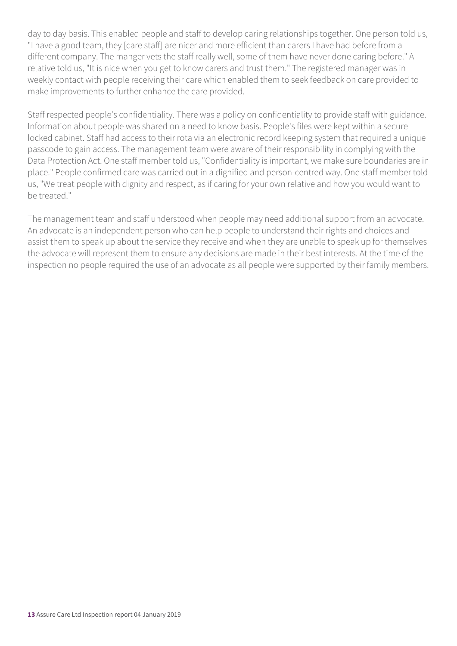day to day basis. This enabled people and staff to develop caring relationships together. One person told us, "I have a good team, they [care staff] are nicer and more efficient than carers I have had before from a different company. The manger vets the staff really well, some of them have never done caring before." A relative told us, "It is nice when you get to know carers and trust them." The registered manager was in weekly contact with people receiving their care which enabled them to seek feedback on care provided to make improvements to further enhance the care provided.

Staff respected people's confidentiality. There was a policy on confidentiality to provide staff with guidance. Information about people was shared on a need to know basis. People's files were kept within a secure locked cabinet. Staff had access to their rota via an electronic record keeping system that required a unique passcode to gain access. The management team were aware of their responsibility in complying with the Data Protection Act. One staff member told us, "Confidentiality is important, we make sure boundaries are in place." People confirmed care was carried out in a dignified and person-centred way. One staff member told us, "We treat people with dignity and respect, as if caring for your own relative and how you would want to be treated."

The management team and staff understood when people may need additional support from an advocate. An advocate is an independent person who can help people to understand their rights and choices and assist them to speak up about the service they receive and when they are unable to speak up for themselves the advocate will represent them to ensure any decisions are made in their best interests. At the time of the inspection no people required the use of an advocate as all people were supported by their family members.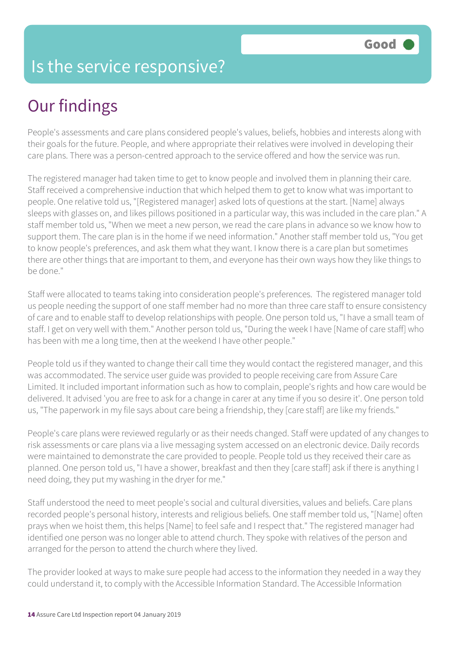#### Is the service responsive?

## Our findings

People's assessments and care plans considered people's values, beliefs, hobbies and interests along with their goals for the future. People, and where appropriate their relatives were involved in developing their care plans. There was a person-centred approach to the service offered and how the service was run.

The registered manager had taken time to get to know people and involved them in planning their care. Staff received a comprehensive induction that which helped them to get to know what was important to people. One relative told us, "[Registered manager] asked lots of questions at the start. [Name] always sleeps with glasses on, and likes pillows positioned in a particular way, this was included in the care plan." A staff member told us, "When we meet a new person, we read the care plans in advance so we know how to support them. The care plan is in the home if we need information." Another staff member told us, "You get to know people's preferences, and ask them what they want. I know there is a care plan but sometimes there are other things that are important to them, and everyone has their own ways how they like things to be done."

Staff were allocated to teams taking into consideration people's preferences. The registered manager told us people needing the support of one staff member had no more than three care staff to ensure consistency of care and to enable staff to develop relationships with people. One person told us, "I have a small team of staff. I get on very well with them." Another person told us, "During the week I have [Name of care staff] who has been with me a long time, then at the weekend I have other people."

People told us if they wanted to change their call time they would contact the registered manager, and this was accommodated. The service user guide was provided to people receiving care from Assure Care Limited. It included important information such as how to complain, people's rights and how care would be delivered. It advised 'you are free to ask for a change in carer at any time if you so desire it'. One person told us, "The paperwork in my file says about care being a friendship, they [care staff] are like my friends."

People's care plans were reviewed regularly or as their needs changed. Staff were updated of any changes to risk assessments or care plans via a live messaging system accessed on an electronic device. Daily records were maintained to demonstrate the care provided to people. People told us they received their care as planned. One person told us, "I have a shower, breakfast and then they [care staff] ask if there is anything I need doing, they put my washing in the dryer for me."

Staff understood the need to meet people's social and cultural diversities, values and beliefs. Care plans recorded people's personal history, interests and religious beliefs. One staff member told us, "[Name] often prays when we hoist them, this helps [Name] to feel safe and I respect that." The registered manager had identified one person was no longer able to attend church. They spoke with relatives of the person and arranged for the person to attend the church where they lived.

The provider looked at ways to make sure people had access to the information they needed in a way they could understand it, to comply with the Accessible Information Standard. The Accessible Information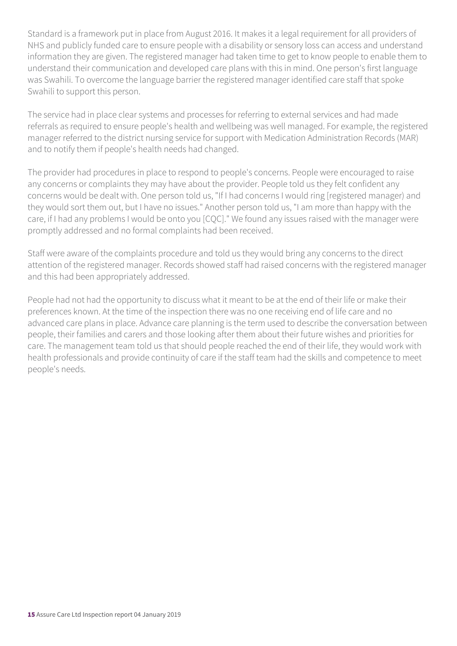Standard is a framework put in place from August 2016. It makes it a legal requirement for all providers of NHS and publicly funded care to ensure people with a disability or sensory loss can access and understand information they are given. The registered manager had taken time to get to know people to enable them to understand their communication and developed care plans with this in mind. One person's first language was Swahili. To overcome the language barrier the registered manager identified care staff that spoke Swahili to support this person.

The service had in place clear systems and processes for referring to external services and had made referrals as required to ensure people's health and wellbeing was well managed. For example, the registered manager referred to the district nursing service for support with Medication Administration Records (MAR) and to notify them if people's health needs had changed.

The provider had procedures in place to respond to people's concerns. People were encouraged to raise any concerns or complaints they may have about the provider. People told us they felt confident any concerns would be dealt with. One person told us, "If I had concerns I would ring [registered manager) and they would sort them out, but I have no issues." Another person told us, "I am more than happy with the care, if I had any problems I would be onto you [CQC]." We found any issues raised with the manager were promptly addressed and no formal complaints had been received.

Staff were aware of the complaints procedure and told us they would bring any concerns to the direct attention of the registered manager. Records showed staff had raised concerns with the registered manager and this had been appropriately addressed.

People had not had the opportunity to discuss what it meant to be at the end of their life or make their preferences known. At the time of the inspection there was no one receiving end of life care and no advanced care plans in place. Advance care planning is the term used to describe the conversation between people, their families and carers and those looking after them about their future wishes and priorities for care. The management team told us that should people reached the end of their life, they would work with health professionals and provide continuity of care if the staff team had the skills and competence to meet people's needs.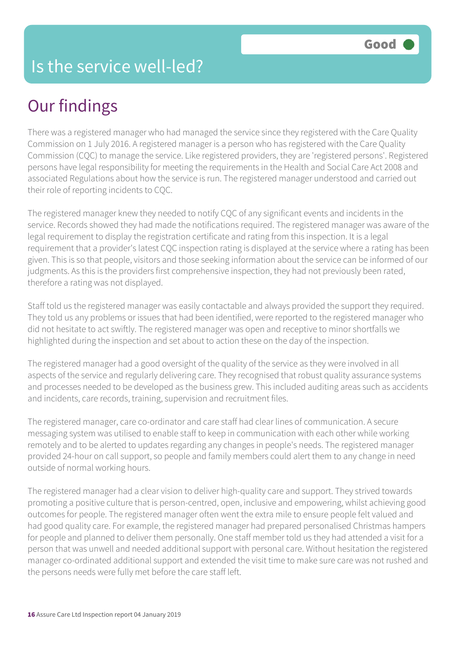#### Is the service well-led?

## Our findings

There was a registered manager who had managed the service since they registered with the Care Quality Commission on 1 July 2016. A registered manager is a person who has registered with the Care Quality Commission (CQC) to manage the service. Like registered providers, they are 'registered persons'. Registered persons have legal responsibility for meeting the requirements in the Health and Social Care Act 2008 and associated Regulations about how the service is run. The registered manager understood and carried out their role of reporting incidents to CQC.

The registered manager knew they needed to notify CQC of any significant events and incidents in the service. Records showed they had made the notifications required. The registered manager was aware of the legal requirement to display the registration certificate and rating from this inspection. It is a legal requirement that a provider's latest CQC inspection rating is displayed at the service where a rating has been given. This is so that people, visitors and those seeking information about the service can be informed of our judgments. As this is the providers first comprehensive inspection, they had not previously been rated, therefore a rating was not displayed.

Staff told us the registered manager was easily contactable and always provided the support they required. They told us any problems or issues that had been identified, were reported to the registered manager who did not hesitate to act swiftly. The registered manager was open and receptive to minor shortfalls we highlighted during the inspection and set about to action these on the day of the inspection.

The registered manager had a good oversight of the quality of the service as they were involved in all aspects of the service and regularly delivering care. They recognised that robust quality assurance systems and processes needed to be developed as the business grew. This included auditing areas such as accidents and incidents, care records, training, supervision and recruitment files.

The registered manager, care co-ordinator and care staff had clear lines of communication. A secure messaging system was utilised to enable staff to keep in communication with each other while working remotely and to be alerted to updates regarding any changes in people's needs. The registered manager provided 24-hour on call support, so people and family members could alert them to any change in need outside of normal working hours.

The registered manager had a clear vision to deliver high-quality care and support. They strived towards promoting a positive culture that is person-centred, open, inclusive and empowering, whilst achieving good outcomes for people. The registered manager often went the extra mile to ensure people felt valued and had good quality care. For example, the registered manager had prepared personalised Christmas hampers for people and planned to deliver them personally. One staff member told us they had attended a visit for a person that was unwell and needed additional support with personal care. Without hesitation the registered manager co-ordinated additional support and extended the visit time to make sure care was not rushed and the persons needs were fully met before the care staff left.